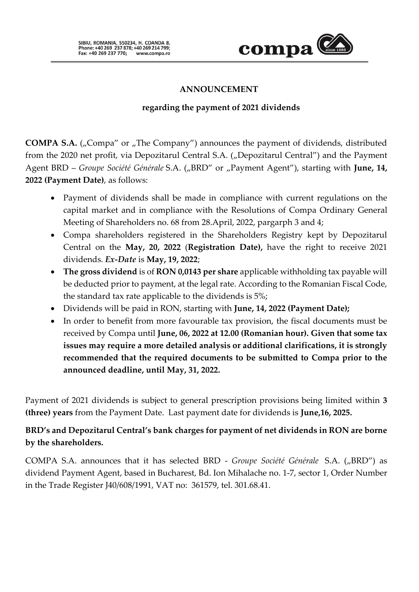

## **ANNOUNCEMENT**

### **regarding the payment of 2021 dividends**

**COMPA S.A.** ("Compa" or "The Company") announces the payment of dividends, distributed from the 2020 net profit, via Depozitarul Central S.A. ("Depozitarul Central") and the Payment Agent BRD – *Groupe Société Générale* S.A. ("BRD" or "Payment Agent"), starting with **June, 14, 2022 (Payment Date)**, as follows:

- Payment of dividends shall be made in compliance with current regulations on the capital market and in compliance with the Resolutions of Compa Ordinary General Meeting of Shareholders no. 68 from 28.April, 2022, pargarph 3 and 4;
- Compa shareholders registered in the Shareholders Registry kept by Depozitarul Central on the **May, 20, 2022** (**Registration Date),** have the right to receive 2021 dividends. *Ex-Date* is **May, 19, 2022**;
- **The gross dividend** is of **RON 0,0143 per share** applicable withholding tax payable will be deducted prior to payment, at the legal rate. According to the Romanian Fiscal Code, the standard tax rate applicable to the dividends is 5%;
- Dividends will be paid in RON, starting with **June, 14, 2022 (Payment Date);**
- In order to benefit from more favourable tax provision, the fiscal documents must be received by Compa until **June, 06, 2022 at 12.00 (Romanian hour). Given that some tax issues may require a more detailed analysis or additional clarifications, it is strongly recommended that the required documents to be submitted to Compa prior to the announced deadline, until May, 31, 2022.**

Payment of 2021 dividends is subject to general prescription provisions being limited within **3 (three) years** from the Payment Date. Last payment date for dividends is **June,16, 2025.**

## **BRD's and Depozitarul Central's bank charges for payment of net dividends in RON are borne by the shareholders.**

COMPA S.A. announces that it has selected BRD - *Groupe Société Générale* S.A. ("BRD") as dividend Payment Agent, based in Bucharest, Bd. Ion Mihalache no. 1-7, sector 1, Order Number in the Trade Register J40/608/1991, VAT no: 361579, tel. 301.68.41.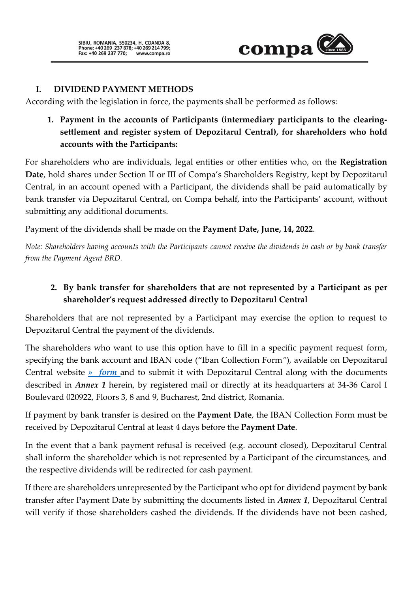

### **I. DIVIDEND PAYMENT METHODS**

According with the legislation in force, the payments shall be performed as follows:

**1. Payment in the accounts of Participants (intermediary participants to the clearingsettlement and register system of Depozitarul Central), for shareholders who hold accounts with the Participants:**

For shareholders who are individuals, legal entities or other entities who, on the **Registration Date**, hold shares under Section II or III of Compa's Shareholders Registry, kept by Depozitarul Central, in an account opened with a Participant, the dividends shall be paid automatically by bank transfer via Depozitarul Central, on Compa behalf, into the Participants' account, without submitting any additional documents.

Payment of the dividends shall be made on the **Payment Date, June, 14, 2022**.

*Note: Shareholders having accounts with the Participants cannot receive the dividends in cash or by bank transfer from the Payment Agent BRD.*

# **2. By bank transfer for shareholders that are not represented by a Participant as per shareholder's request addressed directly to Depozitarul Central**

Shareholders that are not represented by a Participant may exercise the option to request to Depozitarul Central the payment of the dividends.

The shareholders who want to use this option have to fill in a specific payment request form, specifying the bank account and IBAN code ("Iban Collection Form*"*), available on Depozitarul Central website *[» form](https://www.roclear.ro/AppFiles/Detinatori/IBAN_collection_form.pdf)* and to submit it with Depozitarul Central along with the documents described in *Annex 1* herein, by registered mail or directly at its headquarters at 34-36 Carol I Boulevard 020922, Floors 3, 8 and 9, Bucharest, 2nd district, Romania.

If payment by bank transfer is desired on the **Payment Date**, the IBAN Collection Form must be received by Depozitarul Central at least 4 days before the **Payment Date**.

In the event that a bank payment refusal is received (e.g. account closed), Depozitarul Central shall inform the shareholder which is not represented by a Participant of the circumstances, and the respective dividends will be redirected for cash payment.

If there are shareholders unrepresented by the Participant who opt for dividend payment by bank transfer after Payment Date by submitting the documents listed in *Annex 1*, Depozitarul Central will verify if those shareholders cashed the dividends. If the dividends have not been cashed,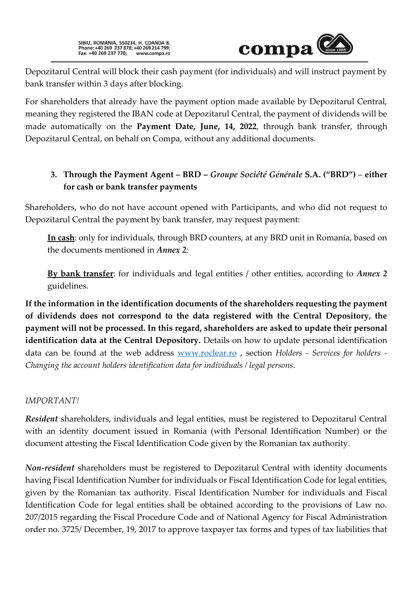SIBIU, ROMANIA, 550234, H. COANDA 8,<br>Phone: +40 269 237 878; +40 269 214 799;<br>Fax: +40 269 237 770; www.compa.ro



Depozitarul Central will block their cash payment (for individuals) and will instruct payment by bank transfer within 3 days after blocking.

For shareholders that already have the payment option made available by Depozitarul Central, meaning they registered the IBAN code at Depozitarul Central, the payment of dividends will be made automatically on the **Payment Date, June, 14, 2022**, through bank transfer, through Depozitarul Central, on behalf on Compa, without any additional documents.

# **3. Through the Payment Agent – BRD –** *Groupe Société Générale* **S.A. ("BRD")** – **either for cash or bank transfer payments**

Shareholders, who do not have account opened with Participants, and who did not request to Depozitarul Central the payment by bank transfer, may request payment:

**In cash**: only for individuals, through BRD counters, at any BRD unit in Romania, based on the documents mentioned in *Annex 2;*

**By bank transfer**: for individuals and legal entities / other entities, according to *Annex 2* guidelines.

**If the information in the identification documents of the shareholders requesting the payment of dividends does not correspond to the data registered with the Central Depository, the payment will not be processed. In this regard, shareholders are asked to update their personal identification data at the Central Depository.** Details on how to update personal identification data can be found at the web address [www.roclear.ro](http://www.roclear.ro/) , section *Holders - Services for holders - Changing the account holders identification data for individuals / legal persons.*

### *IMPORTANT!*

*Resident* shareholders, individuals and legal entities, must be registered to Depozitarul Central with an identity document issued in Romania (with Personal Identification Number) or the document attesting the Fiscal Identification Code given by the Romanian tax authority.

*Non-resident* shareholders must be registered to Depozitarul Central with identity documents having Fiscal Identification Number for individuals or Fiscal Identification Code for legal entities, given by the Romanian tax authority. Fiscal Identification Number for individuals and Fiscal Identification Code for legal entities shall be obtained according to the provisions of Law no. 207/2015 regarding the Fiscal Procedure Code and of National Agency for Fiscal Administration order no. 3725/ December, 19, 2017 to approve taxpayer tax forms and types of tax liabilities that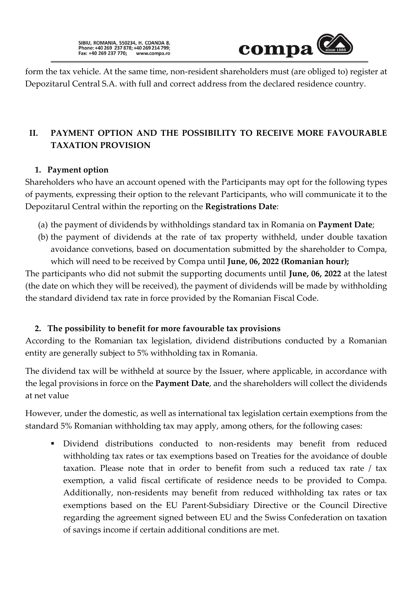

form the tax vehicle. At the same time, non-resident shareholders must (are obliged to) register at Depozitarul Central S.A. with full and correct address from the declared residence country.

# **II. PAYMENT OPTION AND THE POSSIBILITY TO RECEIVE MORE FAVOURABLE TAXATION PROVISION**

### **1. Payment option**

Shareholders who have an account opened with the Participants may opt for the following types of payments, expressing their option to the relevant Participants, who will communicate it to the Depozitarul Central within the reporting on the **Registrations Date**:

- (a) the payment of dividends by withholdings standard tax in Romania on **Payment Date**;
- (b) the payment of dividends at the rate of tax property withheld, under double taxation avoidance convetions, based on documentation submitted by the shareholder to Compa, which will need to be received by Compa until **June, 06, 2022 (Romanian hour);**

The participants who did not submit the supporting documents until **June, 06, 2022** at the latest (the date on which they will be received), the payment of dividends will be made by withholding the standard dividend tax rate in force provided by the Romanian Fiscal Code.

## **2. The possibility to benefit for more favourable tax provisions**

According to the Romanian tax legislation, dividend distributions conducted by a Romanian entity are generally subject to 5% withholding tax in Romania.

The dividend tax will be withheld at source by the Issuer, where applicable, in accordance with the legal provisions in force on the **Payment Date**, and the shareholders will collect the dividends at net value

However, under the domestic, as well as international tax legislation certain exemptions from the standard 5% Romanian withholding tax may apply, among others, for the following cases:

▪ Dividend distributions conducted to non-residents may benefit from reduced withholding tax rates or tax exemptions based on Treaties for the avoidance of double taxation. Please note that in order to benefit from such a reduced tax rate / tax exemption, a valid fiscal certificate of residence needs to be provided to Compa. Additionally, non-residents may benefit from reduced withholding tax rates or tax exemptions based on the EU Parent-Subsidiary Directive or the Council Directive regarding the agreement signed between EU and the Swiss Confederation on taxation of savings income if certain additional conditions are met.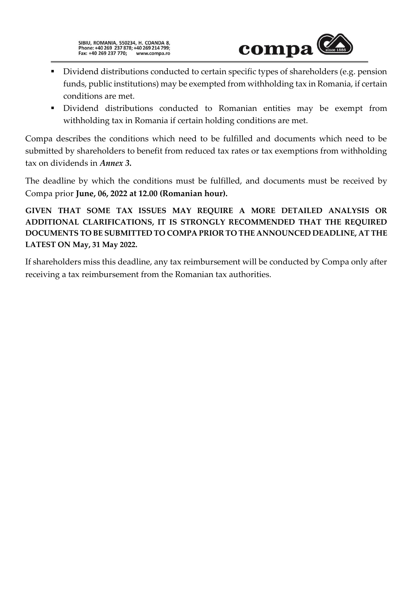

- Dividend distributions conducted to certain specific types of shareholders (e.g. pension funds, public institutions) may be exempted from withholding tax in Romania, if certain conditions are met.
- Dividend distributions conducted to Romanian entities may be exempt from withholding tax in Romania if certain holding conditions are met.

Compa describes the conditions which need to be fulfilled and documents which need to be submitted by shareholders to benefit from reduced tax rates or tax exemptions from withholding tax on dividends in *Annex 3.*

The deadline by which the conditions must be fulfilled, and documents must be received by Compa prior **June, 06, 2022 at 12.00 (Romanian hour).**

**GIVEN THAT SOME TAX ISSUES MAY REQUIRE A MORE DETAILED ANALYSIS OR ADDITIONAL CLARIFICATIONS, IT IS STRONGLY RECOMMENDED THAT THE REQUIRED DOCUMENTS TO BE SUBMITTED TO COMPA PRIOR TO THE ANNOUNCED DEADLINE, AT THE LATEST ON May, 31 May 2022.**

If shareholders miss this deadline, any tax reimbursement will be conducted by Compa only after receiving a tax reimbursement from the Romanian tax authorities.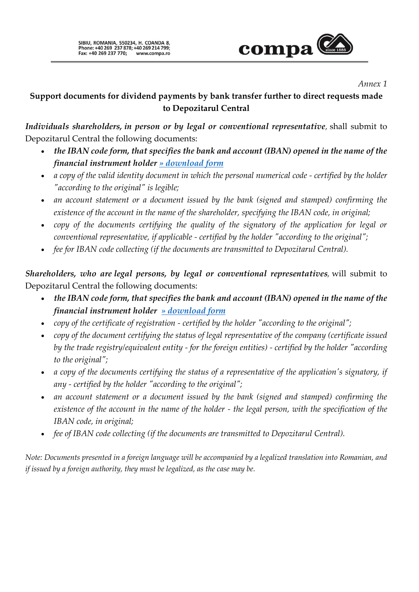

#### *Annex 1*

## **Support documents for dividend payments by bank transfer further to direct requests made to Depozitarul Central**

*Individuals shareholders, in person or by legal or conventional representative,* shall submit to Depozitarul Central the following documents:

- *the IBAN code form, that specifies the bank and account (IBAN) opened in the name of the financial instrument holder [» download form](https://www.roclear.ro/AppFiles/Detinatori/IBAN_collection_form.pdf)*
- *a copy of the valid identity document in which the personal numerical code - certified by the holder "according to the original" is legible;*
- *an account statement or a document issued by the bank (signed and stamped) confirming the existence of the account in the name of the shareholder, specifying the IBAN code, in original;*
- *copy of the documents certifying the quality of the signatory of the application for legal or conventional representative, if applicable - certified by the holder "according to the original";*
- *fee for IBAN code collecting (if the documents are transmitted to Depozitarul Central).*

*Shareholders, who are legal persons, by legal or conventional representatives,* will submit to Depozitarul Central the following documents:

- *the IBAN code form, that specifies the bank and account (IBAN) opened in the name of the financial instrument holder [» download form](https://www.roclear.ro/AppFiles/Detinatori/IBAN_collection_form.pdf)*
- *copy of the certificate of registration - certified by the holder "according to the original";*
- *copy of the document certifying the status of legal representative of the company (certificate issued by the trade registry/equivalent entity - for the foreign entities) - certified by the holder "according to the original";*
- *a copy of the documents certifying the status of a representative of the application's signatory, if any - certified by the holder "according to the original";*
- *an account statement or a document issued by the bank (signed and stamped) confirming the existence of the account in the name of the holder - the legal person, with the specification of the IBAN code, in original;*
- *fee of IBAN code collecting (if the documents are transmitted to Depozitarul Central).*

*Note: Documents presented in a foreign language will be accompanied by a legalized translation into Romanian, and if issued by a foreign authority, they must be legalized, as the case may be.*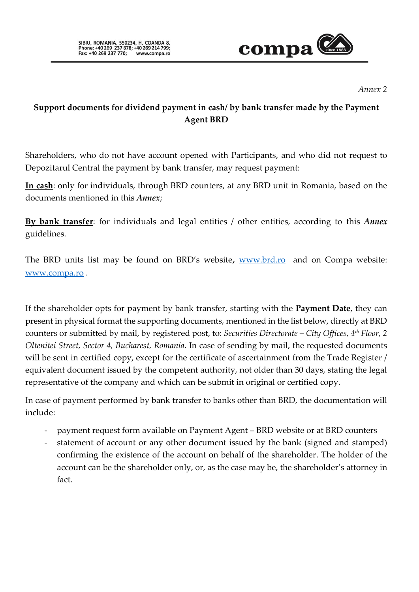

*Annex 2* 

# **Support documents for dividend payment in cash/ by bank transfer made by the Payment Agent BRD**

Shareholders, who do not have account opened with Participants, and who did not request to Depozitarul Central the payment by bank transfer, may request payment:

**In cash**: only for individuals, through BRD counters, at any BRD unit in Romania, based on the documents mentioned in this *Annex*;

**By bank transfer**: for individuals and legal entities / other entities, according to this *Annex* guidelines.

The BRD units list may be found on BRD's website, [www.brd.ro](http://www.brd.ro/) and on Compa website: [www.compa.ro](http://www.compa.ro/) .

If the shareholder opts for payment by bank transfer, starting with the **Payment Date**, they can present in physical format the supporting documents, mentioned in the list below, directly at BRD counters or submitted by mail, by registered post, to: *Securities Directorate – City Offices, 4th Floor, 2 Oltenitei Street, Sector 4, Bucharest, Romania*. In case of sending by mail, the requested documents will be sent in certified copy, except for the certificate of ascertainment from the Trade Register / equivalent document issued by the competent authority, not older than 30 days, stating the legal representative of the company and which can be submit in original or certified copy.

In case of payment performed by bank transfer to banks other than BRD, the documentation will include:

- payment request form available on Payment Agent BRD website or at BRD counters
- statement of account or any other document issued by the bank (signed and stamped) confirming the existence of the account on behalf of the shareholder. The holder of the account can be the shareholder only, or, as the case may be, the shareholder's attorney in fact.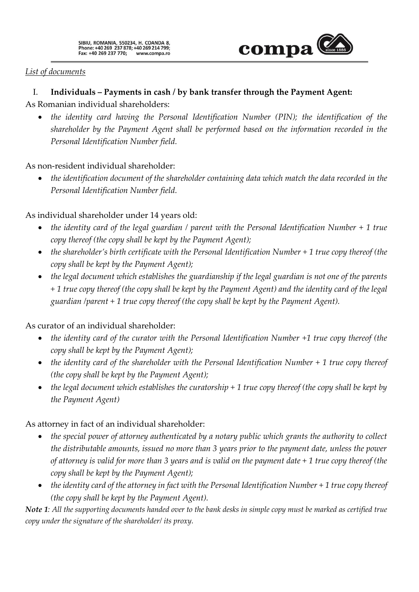

### *List of documents*

## I. **Individuals – Payments in cash / by bank transfer through the Payment Agent:**

As Romanian individual shareholders:

• *the identity card having the Personal Identification Number (PIN); the identification of the shareholder by the Payment Agent shall be performed based on the information recorded in the Personal Identification Number field.* 

As non-resident individual shareholder:

• *the identification document of the shareholder containing data which match the data recorded in the Personal Identification Number field.*

As individual shareholder under 14 years old:

- *the identity card of the legal guardian / parent with the Personal Identification Number + 1 true copy thereof (the copy shall be kept by the Payment Agent);*
- *the shareholder's birth certificate with the Personal Identification Number* + 1 true copy thereof (the *copy shall be kept by the Payment Agent);*
- *the legal document which establishes the guardianship if the legal guardian is not one of the parents + 1 true copy thereof (the copy shall be kept by the Payment Agent) and the identity card of the legal guardian /parent + 1 true copy thereof (the copy shall be kept by the Payment Agent).*

As curator of an individual shareholder:

- *the identity card of the curator with the Personal Identification Number +1 true copy thereof (the copy shall be kept by the Payment Agent);*
- *the identity card of the shareholder with the Personal Identification Number + 1 true copy thereof (the copy shall be kept by the Payment Agent);*
- *the legal document which establishes the curatorship + 1 true copy thereof (the copy shall be kept by the Payment Agent)*

## As attorney in fact of an individual shareholder:

- *the special power of attorney authenticated by a notary public which grants the authority to collect the distributable amounts, issued no more than 3 years prior to the payment date, unless the power of attorney is valid for more than 3 years and is valid on the payment date + 1 true copy thereof (the copy shall be kept by the Payment Agent);*
- *the identity card of the attorney in fact with the Personal Identification Number* + 1 true copy thereof *(the copy shall be kept by the Payment Agent).*

*Note 1: All the supporting documents handed over to the bank desks in simple copy must be marked as certified true copy under the signature of the shareholder/ its proxy.*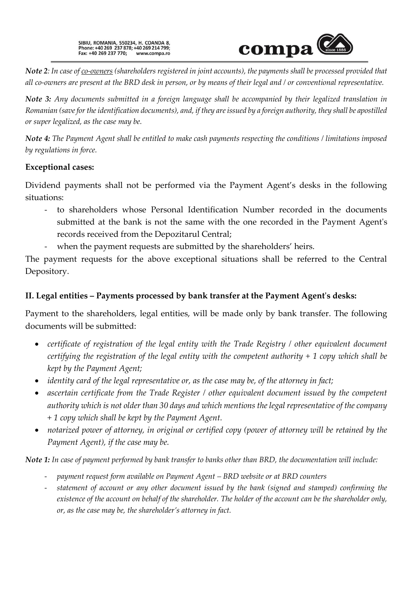

*Note 2: In case of co-owners (shareholders registered in joint accounts), the payments shall be processed provided that all co-owners are present at the BRD desk in person, or by means of their legal and / or conventional representative.*

*Note 3: Any documents submitted in a foreign language shall be accompanied by their legalized translation in Romanian (save for the identification documents), and, if they are issued by a foreign authority, they shall be apostilled or super legalized, as the case may be.* 

*Note 4: The Payment Agent shall be entitled to make cash payments respecting the conditions / limitations imposed by regulations in force.* 

### **Exceptional cases:**

Dividend payments shall not be performed via the Payment Agent's desks in the following situations:

- to shareholders whose Personal Identification Number recorded in the documents submitted at the bank is not the same with the one recorded in the Payment Agent's records received from the Depozitarul Central;
- when the payment requests are submitted by the shareholders' heirs.

The payment requests for the above exceptional situations shall be referred to the Central Depository.

## **II. Legal entities – Payments processed by bank transfer at the Payment Agent's desks:**

Payment to the shareholders, legal entities, will be made only by bank transfer. The following documents will be submitted:

- *certificate of registration of the legal entity with the Trade Registry / other equivalent document certifying the registration of the legal entity with the competent authority + 1 copy which shall be kept by the Payment Agent;*
- *identity card of the legal representative or, as the case may be, of the attorney in fact;*
- *ascertain certificate from the Trade Register / other equivalent document issued by the competent authority which is not older than 30 days and which mentions the legal representative of the company + 1 copy which shall be kept by the Payment Agent.*
- *notarized power of attorney, in original or certified copy (power of attorney will be retained by the Payment Agent), if the case may be.*

*Note 1: In case of payment performed by bank transfer to banks other than BRD, the documentation will include:*

- *payment request form available on Payment Agent – BRD website or at BRD counters*
- *statement of account or any other document issued by the bank (signed and stamped) confirming the existence of the account on behalf of the shareholder. The holder of the account can be the shareholder only, or, as the case may be, the shareholder's attorney in fact.*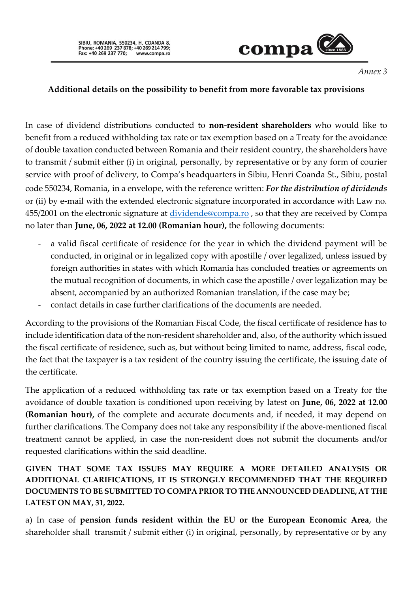

*Annex 3*

## **Additional details on the possibility to benefit from more favorable tax provisions**

In case of dividend distributions conducted to **non-resident shareholders** who would like to benefit from a reduced withholding tax rate or tax exemption based on a Treaty for the avoidance of double taxation conducted between Romania and their resident country, the shareholders have to transmit / submit either (i) in original, personally, by representative or by any form of courier service with proof of delivery, to Compa's headquarters in Sibiu, Henri Coanda St., Sibiu, postal code 550234, Romania, in a envelope, with the reference written: *For the distribution of dividends*  or (ii) by e-mail with the extended electronic signature incorporated in accordance with Law no. 455/2001 on the electronic signature at [dividende@compa.ro](mailto:dividende@compa.ro) , so that they are received by Compa no later than **June, 06, 2022 at 12.00 (Romanian hour),** the following documents:

- a valid fiscal certificate of residence for the year in which the dividend payment will be conducted, in original or in legalized copy with apostille / over legalized, unless issued by foreign authorities in states with which Romania has concluded treaties or agreements on the mutual recognition of documents, in which case the apostille / over legalization may be absent, accompanied by an authorized Romanian translation, if the case may be;
- contact details in case further clarifications of the documents are needed.

According to the provisions of the Romanian Fiscal Code, the fiscal certificate of residence has to include identification data of the non-resident shareholder and, also, of the authority which issued the fiscal certificate of residence, such as, but without being limited to name, address, fiscal code, the fact that the taxpayer is a tax resident of the country issuing the certificate, the issuing date of the certificate.

The application of a reduced withholding tax rate or tax exemption based on a Treaty for the avoidance of double taxation is conditioned upon receiving by latest on **June, 06, 2022 at 12.00 (Romanian hour),** of the complete and accurate documents and, if needed, it may depend on further clarifications. The Company does not take any responsibility if the above-mentioned fiscal treatment cannot be applied, in case the non-resident does not submit the documents and/or requested clarifications within the said deadline.

**GIVEN THAT SOME TAX ISSUES MAY REQUIRE A MORE DETAILED ANALYSIS OR ADDITIONAL CLARIFICATIONS, IT IS STRONGLY RECOMMENDED THAT THE REQUIRED DOCUMENTS TO BE SUBMITTED TO COMPA PRIOR TO THE ANNOUNCED DEADLINE, AT THE LATEST ON MAY, 31, 2022.**

a) In case of **pension funds resident within the EU or the European Economic Area**, the shareholder shall transmit / submit either (i) in original, personally, by representative or by any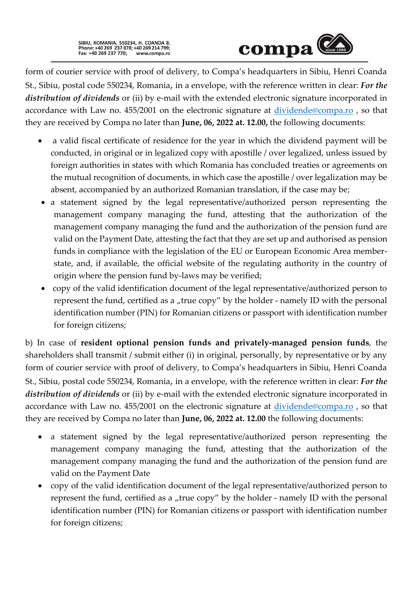SIBIU, ROMANIA, 550234, H. COANDA 8,<br>Phone: +40 269 237 878; +40 269 214 799;<br>Fax: +40 269 237 770; www.compa.ro



form of courier service with proof of delivery, to Compa's headquarters in Sibiu, Henri Coanda St., Sibiu, postal code 550234, Romania, in a envelope, with the reference written in clear: *For the distribution of dividends* or (ii) by e-mail with the extended electronic signature incorporated in accordance with Law no. 455/2001 on the electronic signature at [dividende@compa.ro](mailto:dividende@compa.ro) , so that they are received by Compa no later than **June, 06, 2022 at. 12.00,** the following documents:

- a valid fiscal certificate of residence for the year in which the dividend payment will be conducted, in original or in legalized copy with apostille / over legalized, unless issued by foreign authorities in states with which Romania has concluded treaties or agreements on the mutual recognition of documents, in which case the apostille / over legalization may be absent, accompanied by an authorized Romanian translation, if the case may be;
- a statement signed by the legal representative/authorized person representing the management company managing the fund, attesting that the authorization of the management company managing the fund and the authorization of the pension fund are valid on the Payment Date, attesting the fact that they are set up and authorised as pension funds in compliance with the legislation of the EU or European Economic Area memberstate, and, if available, the official website of the regulating authority in the country of origin where the pension fund by-laws may be verified;
- copy of the valid identification document of the legal representative/authorized person to represent the fund, certified as a "true copy" by the holder - namely ID with the personal identification number (PIN) for Romanian citizens or passport with identification number for foreign citizens;

b) In case of **resident optional pension funds and privately-managed pension funds**, the shareholders shall transmit / submit either (i) in original, personally, by representative or by any form of courier service with proof of delivery, to Compa's headquarters in Sibiu, Henri Coanda St., Sibiu, postal code 550234, Romania, in a envelope, with the reference written in clear: *For the distribution of dividends* or (ii) by e-mail with the extended electronic signature incorporated in accordance with Law no. 455/2001 on the electronic signature at [dividende@compa.ro](mailto:dividende@compa.ro) , so that they are received by Compa no later than **June, 06, 2022 at. 12.00** the following documents:

- a statement signed by the legal representative/authorized person representing the management company managing the fund, attesting that the authorization of the management company managing the fund and the authorization of the pension fund are valid on the Payment Date
- copy of the valid identification document of the legal representative/authorized person to represent the fund, certified as a "true copy" by the holder - namely ID with the personal identification number (PIN) for Romanian citizens or passport with identification number for foreign citizens;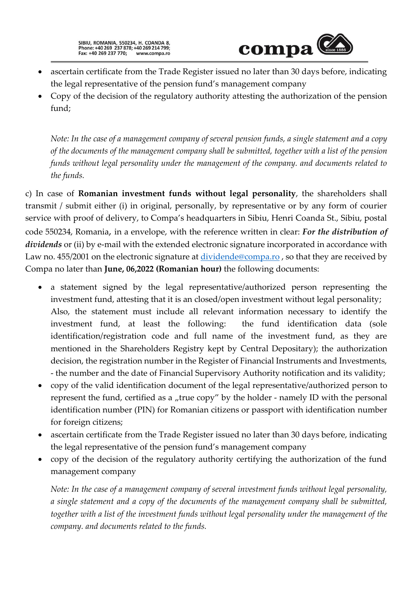

- ascertain certificate from the Trade Register issued no later than 30 days before, indicating the legal representative of the pension fund's management company
- Copy of the decision of the regulatory authority attesting the authorization of the pension fund;

*Note: In the case of a management company of several pension funds, a single statement and a copy of the documents of the management company shall be submitted, together with a list of the pension funds without legal personality under the management of the company. and documents related to the funds.*

c) In case of **Romanian investment funds without legal personality**, the shareholders shall transmit / submit either (i) in original, personally, by representative or by any form of courier service with proof of delivery, to Compa's headquarters in Sibiu, Henri Coanda St., Sibiu, postal code 550234, Romania, in a envelope, with the reference written in clear: *For the distribution of*  dividends or (ii) by e-mail with the extended electronic signature incorporated in accordance with Law no. 455/2001 on the electronic signature at [dividende@compa.ro](mailto:dividende@compa.ro), so that they are received by Compa no later than **June, 06,2022 (Romanian hour)** the following documents:

- a statement signed by the legal representative/authorized person representing the investment fund, attesting that it is an closed/open investment without legal personality; Also, the statement must include all relevant information necessary to identify the investment fund, at least the following: the fund identification data (sole identification/registration code and full name of the investment fund, as they are mentioned in the Shareholders Registry kept by Central Depositary); the authorization decision, the registration number in the Register of Financial Instruments and Investments, - the number and the date of Financial Supervisory Authority notification and its validity;
- copy of the valid identification document of the legal representative/authorized person to represent the fund, certified as a "true copy" by the holder - namely ID with the personal identification number (PIN) for Romanian citizens or passport with identification number for foreign citizens;
- ascertain certificate from the Trade Register issued no later than 30 days before, indicating the legal representative of the pension fund's management company
- copy of the decision of the regulatory authority certifying the authorization of the fund management company

*Note: In the case of a management company of several investment funds without legal personality, a single statement and a copy of the documents of the management company shall be submitted, together with a list of the investment funds without legal personality under the management of the company. and documents related to the funds.*